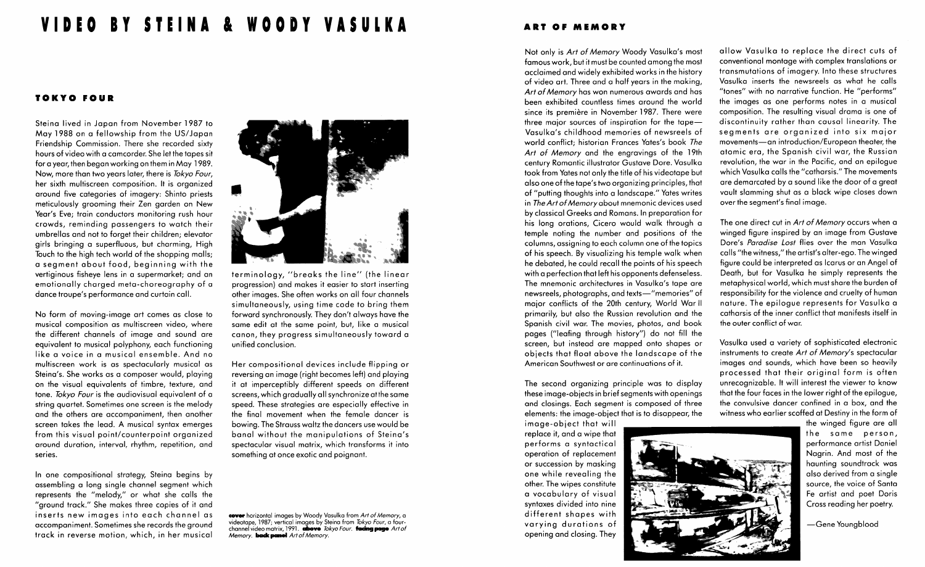## VIDEO BY STEINA & WOODY VASULKA

## TOKYO FOUR

Steina lived in Japan from November 1987 to May 1988 on a fellowship from the US/Japan Friendship Commission. There she recorded sixty hours of video with a camcorder. She let the tapes sit for a year, then began working on them in May 1989. Now, more than two years later, there is Tokyo Four, her sixth multiscreen composition. It is organized around five categories of imagery: Shinto priests meticulously grooming their Zen garden on New Year's Eve; train conductors monitoring rush hour crowds, reminding passengers to watch their umbrellas and not to forget their children; elevator girls bringing a superfluous, but charming, High Touch to the high tech world of the shopping malls; a segment about food, beginning with the vertiginous fisheye lens in a supermarket; and an emotionally charged meta-choreography of a dance troupe's performance and curtain call.

No form of moving-image art comes as close to musical composition as multiscreen video, where the different channels of image and sound are equivalent to musical polyphony, each functioning like a voice in a musical ensemble. And no multiscreen work is as spectacularly musical as Steina's. She works as a composer would, playing on the visual equivalents of timbre, texture, and tone. Tokyo Four is the audiovisual equivalent of a string quartet. Sometimes one screen is the melody and the others are accompaniment, then another screen takes the lead. A musical syntax emerges from this visual point/counterpoint organized around duration, interval, rhythm, repetition, and series.

In one compositional strategy, Steina begins by assembling a long single channel segment which represents the "melody," or what she calls the "ground track." She makes three copies of it and inserts new images into each channel as accompaniment. Sometimes she records the ground track in reverse motion, which, in her musical



terminology, "breaks the line" (the linear progression) and makes it easier to start inserting other images . She often works on all four channels simultaneously, using time code to bring them forward synchronously. They don't always have the same edit at the same point, but, like a musical canon, they progress simultaneously toward a unified conclusion .

Her compositional devices include flipping or reversing an image (right becomes left) and playing it at imperceptibly different speeds on different screens, which gradually all synchronize atthe same speed. These strategies are especially effective in the final movement when the female dancer is bowing. The Strauss waltz the dancers use would be banal without the manipulations of Steina's spectacular visual matrix, which transforms it into something at once exotic and poignant.

cover horizontal images by Woody Vasulka from Art of Memory, a videotape, 1987; vertical images by Steina from *lokyo Four*, a four-<br>channel video matrix, 1991. **above** *Tokyo Four.* facing page Art of Memory. **back panel** Art of Memory.

## ART OF MEMORY

Not only is Art of Memory Woody Vasulka's most famous work, but it must be counted among the most acclaimed and widely exhibited works in the history of video art. Three and a half years in the making, Art of Memory has won numerous awards and has been exhibited countless times around the world since its première in November 1987. There were three major sources of inspiration for the tape $-$ Vasulka's childhood memories of newsreels of world conflict: historian Frances Yates's book The Art of Memory and the engravings of the 19th century Romantic illustrator Gustave Dore. Vasulka took from Yates not only the title of his videotape but also one of the tape's two organizing principles, that of "putting thoughts into a landscape." Yates writes in The Art of Memory about mnemonic devices used by classical Greeks and Romans. In preparation for his long orations, Cicero would walk through a temple noting the number and positions of the columns, assigning to each column one of the topics of his speech. By visualizing his temple walk when he debated, he could recall the points of his speech with a perfection that left his opponents defenseless. The mnemonic architectures in Vasulka's tape are newsreels, photographs, and texts-"memories" of major conflicts of the 20th century, World War II primarily, but also the Russian revolution and the Spanish civil war. The movies, photos, and book pages ("leafing through history") do not fill the screen, but instead are mapped onto shapes or objects that float above the landscape of the American Southwest or are continuations of it.

The second organizing principle was to display these image-objects in brief segments with openings and closings. Each segment is composed of three elements: the image-object that is to disappear, the

image-object that will replace it, and a wipe that performs a syntactical operation of replacement or succession by masking one while revealing the other. The wipes constitute a vocabulary of visual syntaxes divided into nine different shapes with varying durations of opening and closing. They

allow Vasulka to replace the direct cuts of conventional montage with complex translations or transmutations of imagery. Into these structures Vasulka inserts the newsreels as what he calls "tones" with no narrative function. He "performs" the images as one performs notes in a musical composition. The resulting visual drama is one of discontinuity rather than causal linearity. The segments are organized into six major movements-an introduction/European theater, the atomic era, the Spanish civil war, the Russian revolution, the war in the Pacific, and an epilogue which Vasulka calls the "catharsis ." The movements are demarcated by a sound like the door of a great vault slamming shut as a black wipe closes down over the segment's final image.

The one direct cut in Art of Memory occurs when a winged figure inspired by an image from Gustave Dore's Paradise Lost flies over the man Vasulka calls "the witness," the artist's alter-ego. The winged figure could be interpreted as Icarus or an Angel of Death, but for Vasulka he simply represents the metaphysical world, which must share the burden of responsibility for the violence and cruelty of human nature. The epilogue represents for Vasulka a catharsis of the inner conflict that manifests itself in the outer conflict of war.

Vasulka used a variety of sophisticated electronic instruments to create Art of Memory's spectacular images and sounds, which have been so heavily processed that their original form is often unrecognizable. It will interest the viewer to know that the four faces in the lower right of the epilogue, the convulsive dancer confined in a box, and the witness who earlier scoffed at Destiny in the form of

> the winged figure are all the same person, performance artist Daniel Nagrin. And most of the haunting soundtrack was also derived from a single source, the voice of Santa Fe artist and poet Doris Cross reading her poetry.

-Gene Youngblood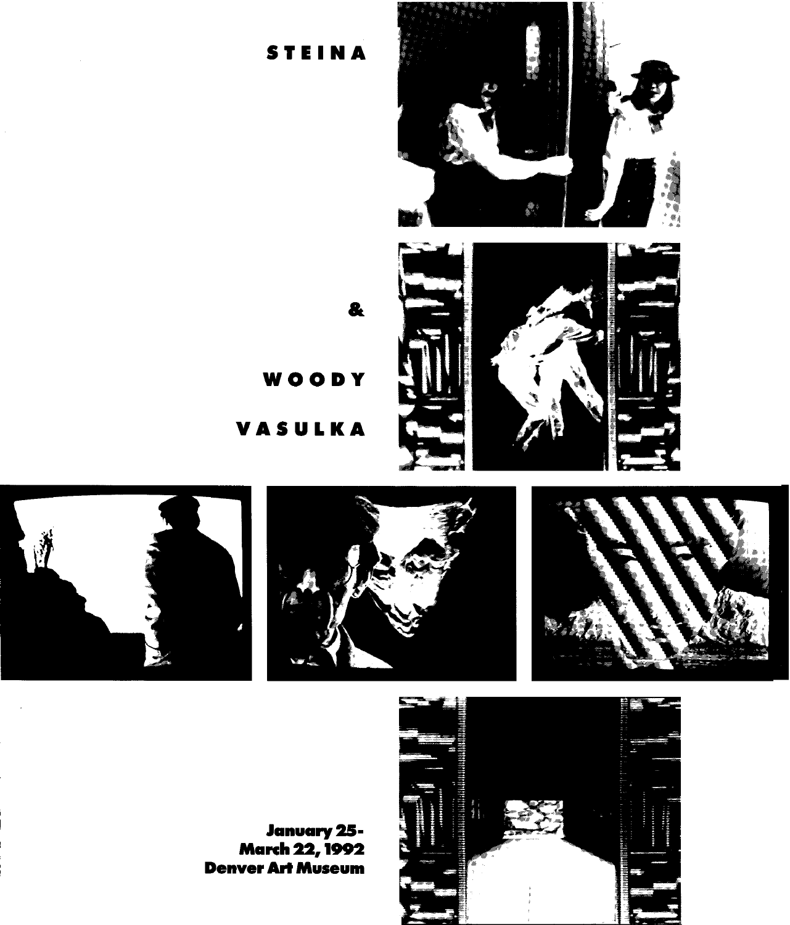







 $\mathbf{a}$ 

WOODY

STEINA

VASULKA